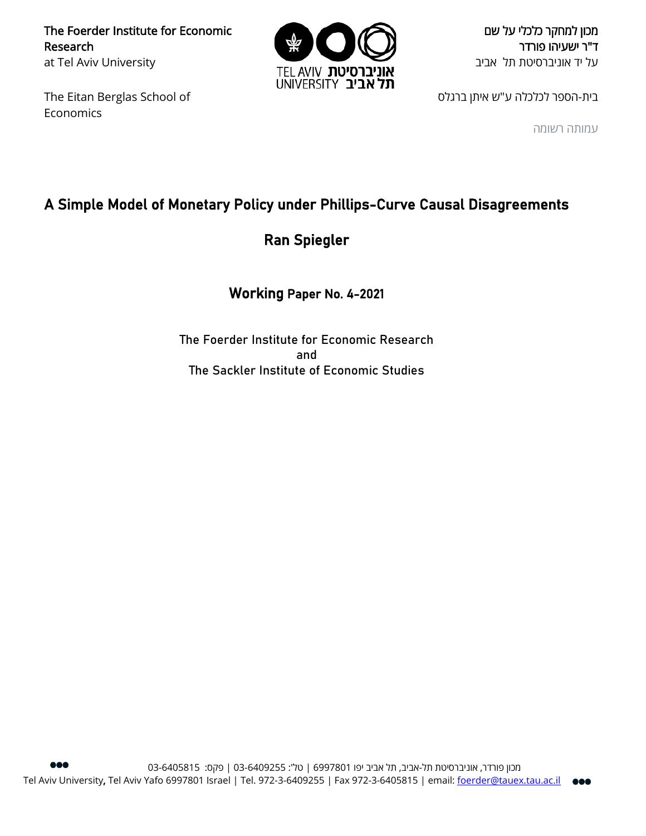The Foerder Institute for Economic Research at Tel Aviv University

The Eitan Berglas School of Economics



מכון למחקר כלכלי על שם ד"ר ישעיהו פורדר על יד אוניברסיטת תל אביב

בית-הספר לכלכלה ע"ש איתן ברגלס

עמותה רשומה

## A Simple Model of Monetary Policy under Phillips-Curve Causal Disagreements

Ran Spiegler

Working Paper No. 4-2021

The Foerder Institute for Economic Research and The Sackler Institute of Economic Studies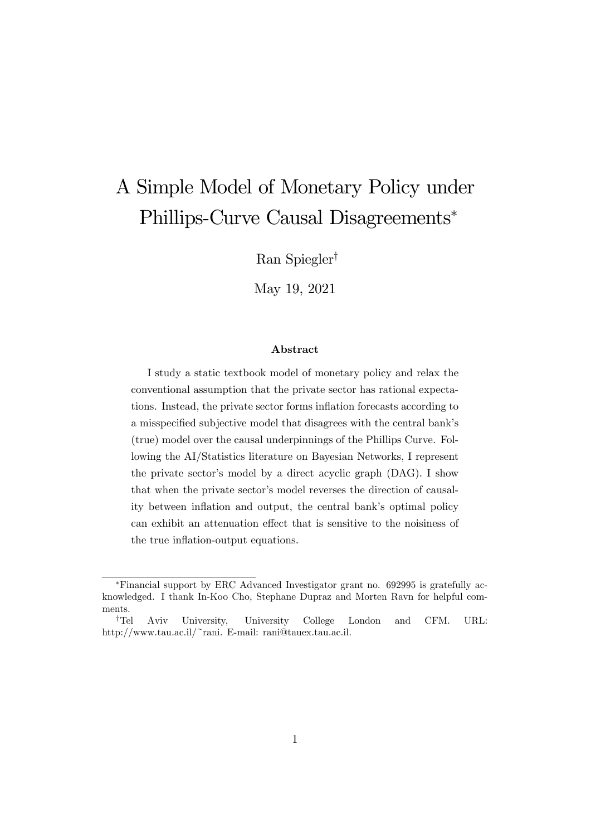# A Simple Model of Monetary Policy under Phillips-Curve Causal Disagreements

Ran Spiegler<sup>†</sup>

May 19, 2021

#### Abstract

I study a static textbook model of monetary policy and relax the conventional assumption that the private sector has rational expectations. Instead, the private sector forms inflation forecasts according to a misspecified subjective model that disagrees with the central bank's (true) model over the causal underpinnings of the Phillips Curve. Following the AI/Statistics literature on Bayesian Networks, I represent the private sector's model by a direct acyclic graph (DAG). I show that when the private sector's model reverses the direction of causality between inflation and output, the central bank's optimal policy can exhibit an attenuation effect that is sensitive to the noisiness of the true inflation-output equations.

Financial support by ERC Advanced Investigator grant no. 692995 is gratefully acknowledged. I thank In-Koo Cho, Stephane Dupraz and Morten Ravn for helpful comments.

<sup>&</sup>lt;sup>†</sup>Tel Aviv University, University College London and CFM. URL: http://www.tau.ac.il/~rani. E-mail: rani@tauex.tau.ac.il.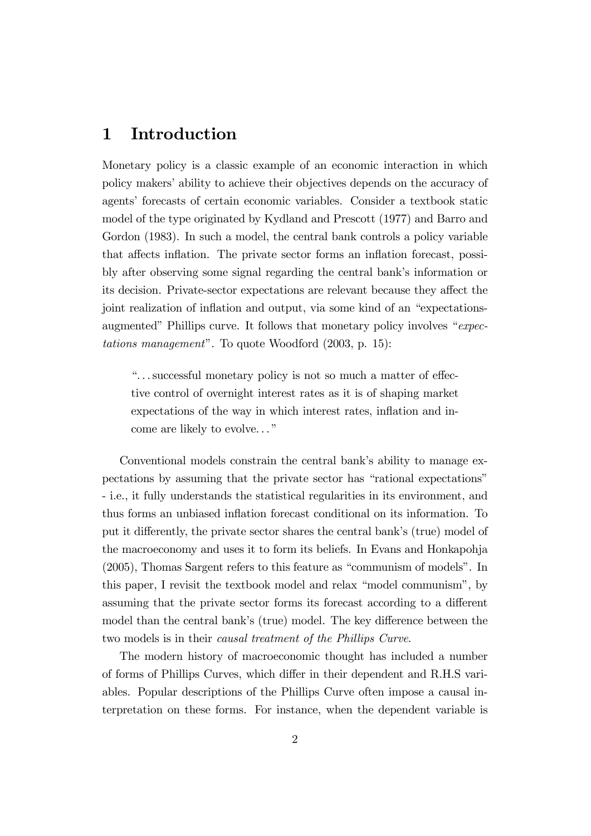### 1 Introduction

Monetary policy is a classic example of an economic interaction in which policy makers' ability to achieve their objectives depends on the accuracy of agents' forecasts of certain economic variables. Consider a textbook static model of the type originated by Kydland and Prescott (1977) and Barro and Gordon (1983). In such a model, the central bank controls a policy variable that affects inflation. The private sector forms an inflation forecast, possibly after observing some signal regarding the central bank's information or its decision. Private-sector expectations are relevant because they affect the joint realization of inflation and output, via some kind of an "expectationsaugmented" Phillips curve. It follows that monetary policy involves " $expec$  $tations$  management". To quote Woodford (2003, p. 15):

 $\ldots$  successful monetary policy is not so much a matter of effective control of overnight interest rates as it is of shaping market expectations of the way in which interest rates, inflation and income are likely to evolve..."

Conventional models constrain the central bank's ability to manage expectations by assuming that the private sector has "rational expectations" - i.e., it fully understands the statistical regularities in its environment, and thus forms an unbiased inflation forecast conditional on its information. To put it differently, the private sector shares the central bank's (true) model of the macroeconomy and uses it to form its beliefs. In Evans and Honkapohja  $(2005)$ , Thomas Sargent refers to this feature as "communism of models". In this paper, I revisit the textbook model and relax "model communism", by assuming that the private sector forms its forecast according to a different model than the central bank's (true) model. The key difference between the two models is in their causal treatment of the Phillips Curve.

The modern history of macroeconomic thought has included a number of forms of Phillips Curves, which differ in their dependent and R.H.S variables. Popular descriptions of the Phillips Curve often impose a causal interpretation on these forms. For instance, when the dependent variable is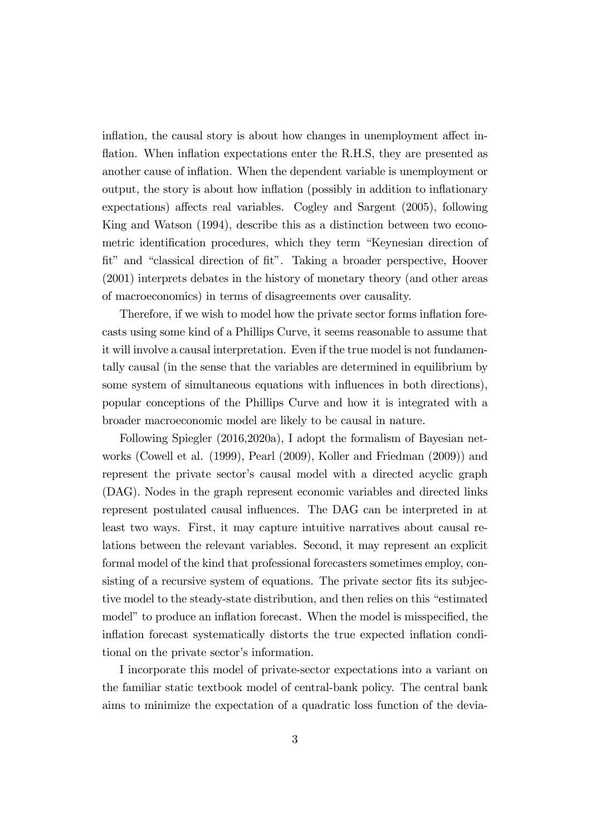inflation, the causal story is about how changes in unemployment affect inflation. When inflation expectations enter the R.H.S, they are presented as another cause of inflation. When the dependent variable is unemployment or output, the story is about how inflation (possibly in addition to inflationary  $expectations)$  affects real variables. Cogley and Sargent  $(2005)$ , following King and Watson (1994), describe this as a distinction between two econometric identification procedures, which they term "Keynesian direction of fit" and "classical direction of fit". Taking a broader perspective, Hoover (2001) interprets debates in the history of monetary theory (and other areas of macroeconomics) in terms of disagreements over causality.

Therefore, if we wish to model how the private sector forms inflation forecasts using some kind of a Phillips Curve, it seems reasonable to assume that it will involve a causal interpretation. Even if the true model is not fundamentally causal (in the sense that the variables are determined in equilibrium by some system of simultaneous equations with influences in both directions), popular conceptions of the Phillips Curve and how it is integrated with a broader macroeconomic model are likely to be causal in nature.

Following Spiegler (2016,2020a), I adopt the formalism of Bayesian networks (Cowell et al. (1999), Pearl (2009), Koller and Friedman (2009)) and represent the private sector's causal model with a directed acyclic graph (DAG). Nodes in the graph represent economic variables and directed links represent postulated causal influences. The DAG can be interpreted in at least two ways. First, it may capture intuitive narratives about causal relations between the relevant variables. Second, it may represent an explicit formal model of the kind that professional forecasters sometimes employ, consisting of a recursive system of equations. The private sector fits its subjective model to the steady-state distribution, and then relies on this "estimated" model" to produce an inflation forecast. When the model is misspecified, the inflation forecast systematically distorts the true expected inflation conditional on the private sector's information.

I incorporate this model of private-sector expectations into a variant on the familiar static textbook model of central-bank policy. The central bank aims to minimize the expectation of a quadratic loss function of the devia-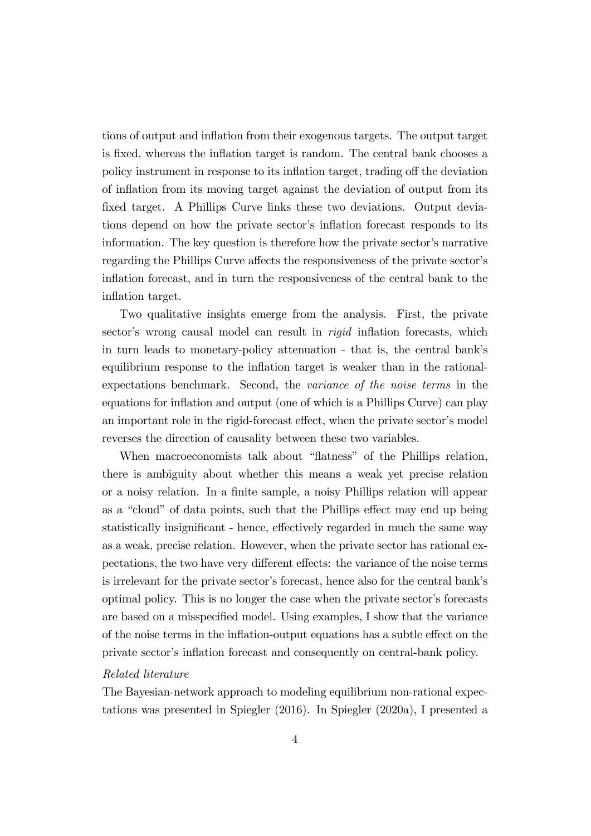tions of output and ináation from their exogenous targets. The output target is fixed, whereas the inflation target is random. The central bank chooses a policy instrument in response to its inflation target, trading off the deviation of ináation from its moving target against the deviation of output from its fixed target. A Phillips Curve links these two deviations. Output deviations depend on how the private sector's inflation forecast responds to its information. The key question is therefore how the private sector's narrative regarding the Phillips Curve affects the responsiveness of the private sector's inflation forecast, and in turn the responsiveness of the central bank to the inflation target.

Two qualitative insights emerge from the analysis. First, the private sector's wrong causal model can result in *rigid* inflation forecasts, which in turn leads to monetary-policy attenuation - that is, the central bankís equilibrium response to the inflation target is weaker than in the rationalexpectations benchmark. Second, the variance of the noise terms in the equations for inflation and output (one of which is a Phillips Curve) can play an important role in the rigid-forecast effect, when the private sector's model reverses the direction of causality between these two variables.

When macroeconomists talk about "flatness" of the Phillips relation, there is ambiguity about whether this means a weak yet precise relation or a noisy relation. In a finite sample, a noisy Phillips relation will appear as a "cloud" of data points, such that the Phillips effect may end up being statistically insignificant - hence, effectively regarded in much the same way as a weak, precise relation. However, when the private sector has rational expectations, the two have very different effects: the variance of the noise terms is irrelevant for the private sector's forecast, hence also for the central bank's optimal policy. This is no longer the case when the private sector's forecasts are based on a misspecified model. Using examples, I show that the variance of the noise terms in the inflation-output equations has a subtle effect on the private sector's inflation forecast and consequently on central-bank policy.

#### Related literature

The Bayesian-network approach to modeling equilibrium non-rational expectations was presented in Spiegler (2016). In Spiegler (2020a), I presented a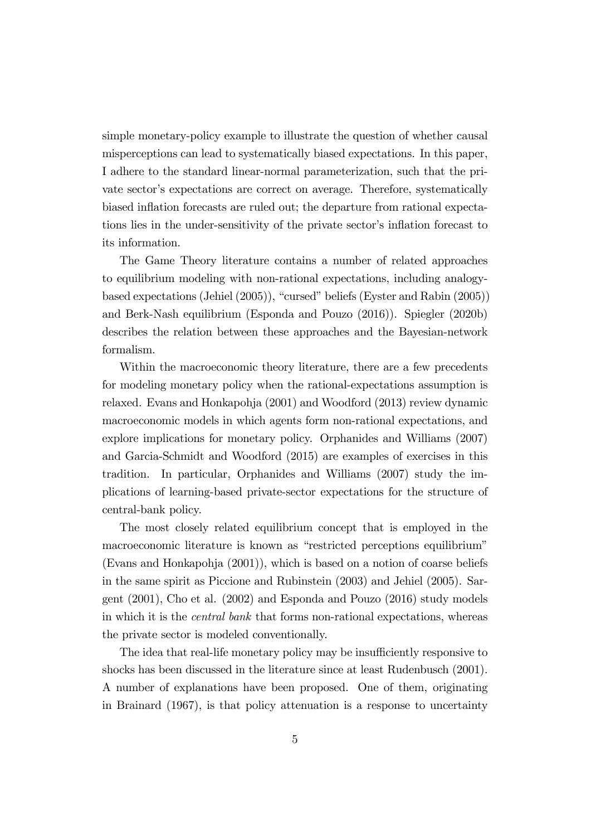simple monetary-policy example to illustrate the question of whether causal misperceptions can lead to systematically biased expectations. In this paper, I adhere to the standard linear-normal parameterization, such that the private sector's expectations are correct on average. Therefore, systematically biased inflation forecasts are ruled out; the departure from rational expectations lies in the under-sensitivity of the private sector's inflation forecast to its information.

The Game Theory literature contains a number of related approaches to equilibrium modeling with non-rational expectations, including analogybased expectations (Jehiel  $(2005)$ ), "cursed" beliefs (Eyster and Rabin  $(2005)$ ) and Berk-Nash equilibrium (Esponda and Pouzo (2016)). Spiegler (2020b) describes the relation between these approaches and the Bayesian-network formalism.

Within the macroeconomic theory literature, there are a few precedents for modeling monetary policy when the rational-expectations assumption is relaxed. Evans and Honkapohja (2001) and Woodford (2013) review dynamic macroeconomic models in which agents form non-rational expectations, and explore implications for monetary policy. Orphanides and Williams (2007) and Garcia-Schmidt and Woodford (2015) are examples of exercises in this tradition. In particular, Orphanides and Williams (2007) study the implications of learning-based private-sector expectations for the structure of central-bank policy.

The most closely related equilibrium concept that is employed in the macroeconomic literature is known as "restricted perceptions equilibrium" (Evans and Honkapohja (2001)), which is based on a notion of coarse beliefs in the same spirit as Piccione and Rubinstein (2003) and Jehiel (2005). Sargent (2001), Cho et al. (2002) and Esponda and Pouzo (2016) study models in which it is the central bank that forms non-rational expectations, whereas the private sector is modeled conventionally.

The idea that real-life monetary policy may be insufficiently responsive to shocks has been discussed in the literature since at least Rudenbusch (2001). A number of explanations have been proposed. One of them, originating in Brainard (1967), is that policy attenuation is a response to uncertainty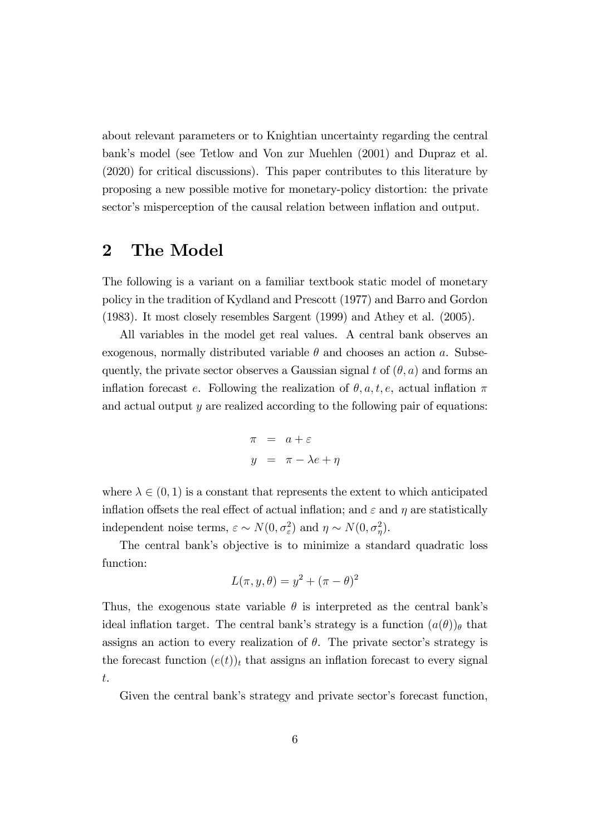about relevant parameters or to Knightian uncertainty regarding the central bank's model (see Tetlow and Von zur Muehlen (2001) and Dupraz et al. (2020) for critical discussions). This paper contributes to this literature by proposing a new possible motive for monetary-policy distortion: the private sector's misperception of the causal relation between inflation and output.

### 2 The Model

The following is a variant on a familiar textbook static model of monetary policy in the tradition of Kydland and Prescott (1977) and Barro and Gordon (1983). It most closely resembles Sargent (1999) and Athey et al. (2005).

All variables in the model get real values. A central bank observes an exogenous, normally distributed variable  $\theta$  and chooses an action a. Subsequently, the private sector observes a Gaussian signal t of  $(\theta, a)$  and forms an inflation forecast e. Following the realization of  $\theta$ , a, t, e, actual inflation  $\pi$ and actual output y are realized according to the following pair of equations:

$$
\pi = a + \varepsilon
$$
  

$$
y = \pi - \lambda e + \eta
$$

where  $\lambda \in (0, 1)$  is a constant that represents the extent to which anticipated inflation offsets the real effect of actual inflation; and  $\varepsilon$  and  $\eta$  are statistically independent noise terms,  $\varepsilon \sim N(0, \sigma_{\varepsilon}^2)$  and  $\eta \sim N(0, \sigma_{\eta}^2)$ .

The central bankís objective is to minimize a standard quadratic loss function:

$$
L(\pi, y, \theta) = y^2 + (\pi - \theta)^2
$$

Thus, the exogenous state variable  $\theta$  is interpreted as the central bank's ideal inflation target. The central bank's strategy is a function  $(a(\theta))_{\theta}$  that assigns an action to every realization of  $\theta$ . The private sector's strategy is the forecast function  $(e(t))_t$  that assigns an inflation forecast to every signal t.

Given the central bank's strategy and private sector's forecast function,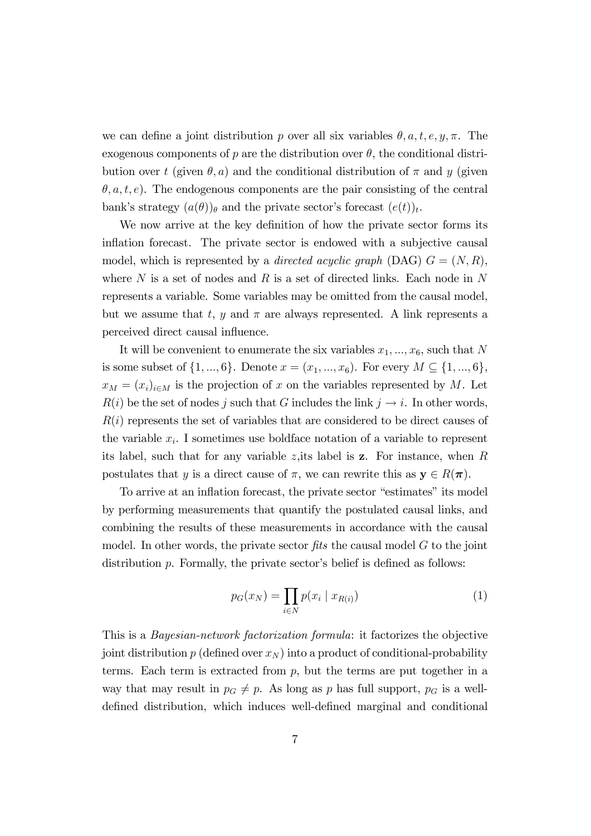we can define a joint distribution p over all six variables  $\theta$ , a, t, e, y,  $\pi$ . The exogenous components of p are the distribution over  $\theta$ , the conditional distribution over t (given  $\theta$ , a) and the conditional distribution of  $\pi$  and y (given  $(\theta, a, t, e)$ . The endogenous components are the pair consisting of the central bank's strategy  $(a(\theta))_\theta$  and the private sector's forecast  $(e(t))_t$ .

We now arrive at the key definition of how the private sector forms its inflation forecast. The private sector is endowed with a subjective causal model, which is represented by a *directed acyclic graph* (DAG)  $G = (N, R)$ , where  $N$  is a set of nodes and  $R$  is a set of directed links. Each node in  $N$ represents a variable. Some variables may be omitted from the causal model, but we assume that t, y and  $\pi$  are always represented. A link represents a perceived direct causal influence.

It will be convenient to enumerate the six variables  $x_1, \ldots, x_6$ , such that N is some subset of  $\{1, ..., 6\}$ . Denote  $x = (x_1, ..., x_6)$ . For every  $M \subseteq \{1, ..., 6\}$ ,  $x_M = (x_i)_{i \in M}$  is the projection of x on the variables represented by M. Let  $R(i)$  be the set of nodes j such that G includes the link  $j \rightarrow i$ . In other words,  $R(i)$  represents the set of variables that are considered to be direct causes of the variable  $x_i$ . I sometimes use boldface notation of a variable to represent its label, such that for any variable z, its label is  $z$ . For instance, when R postulates that y is a direct cause of  $\pi$ , we can rewrite this as  $y \in R(\pi)$ .

To arrive at an inflation forecast, the private sector "estimates" its model by performing measurements that quantify the postulated causal links, and combining the results of these measurements in accordance with the causal model. In other words, the private sector  $fits$  the causal model  $G$  to the joint distribution  $p$ . Formally, the private sector's belief is defined as follows:

$$
p_G(x_N) = \prod_{i \in N} p(x_i \mid x_{R(i)}) \tag{1}
$$

This is a Bayesian-network factorization formula: it factorizes the objective joint distribution p (defined over  $x_N$ ) into a product of conditional-probability terms. Each term is extracted from  $p$ , but the terms are put together in a way that may result in  $p_G \neq p$ . As long as p has full support,  $p_G$  is a welldefined distribution, which induces well-defined marginal and conditional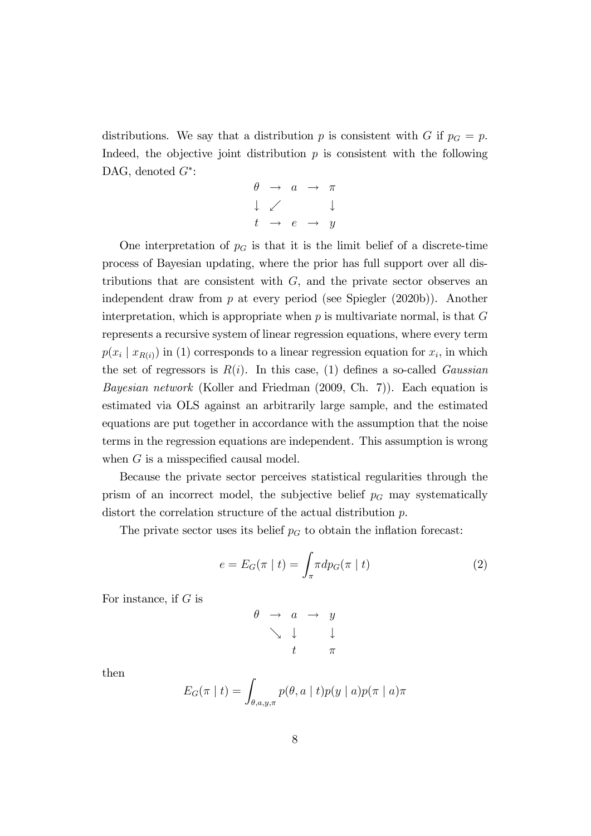distributions. We say that a distribution p is consistent with G if  $p<sub>G</sub> = p$ . Indeed, the objective joint distribution  $p$  is consistent with the following DAG, denoted  $G^*$ :

$$
\begin{array}{ccc}\n\theta & \to & a & \to & \pi \\
\downarrow & \swarrow & & \downarrow \\
t & \to & e & \to & y\n\end{array}
$$

One interpretation of  $p<sub>G</sub>$  is that it is the limit belief of a discrete-time process of Bayesian updating, where the prior has full support over all distributions that are consistent with  $G$ , and the private sector observes an independent draw from p at every period (see Spiegler (2020b)). Another interpretation, which is appropriate when  $p$  is multivariate normal, is that  $G$ represents a recursive system of linear regression equations, where every term  $p(x_i | x_{R(i)})$  in (1) corresponds to a linear regression equation for  $x_i$ , in which the set of regressors is  $R(i)$ . In this case, (1) defines a so-called *Gaussian* Bayesian network (Koller and Friedman (2009, Ch. 7)). Each equation is estimated via OLS against an arbitrarily large sample, and the estimated equations are put together in accordance with the assumption that the noise terms in the regression equations are independent. This assumption is wrong when  $G$  is a misspecified causal model.

Because the private sector perceives statistical regularities through the prism of an incorrect model, the subjective belief  $p<sub>G</sub>$  may systematically distort the correlation structure of the actual distribution p.

The private sector uses its belief  $p<sub>G</sub>$  to obtain the inflation forecast:

$$
e = E_G(\pi | t) = \int_{\pi} \pi dp_G(\pi | t)
$$
 (2)

For instance, if  $G$  is

$$
\begin{array}{rcl}\n\theta & \rightarrow & a & \rightarrow & y \\
\searrow & \downarrow & & \downarrow \\
t & & \pi\n\end{array}
$$

then

$$
E_G(\pi | t) = \int_{\theta, a, y, \pi} p(\theta, a | t) p(y | a) p(\pi | a) \pi
$$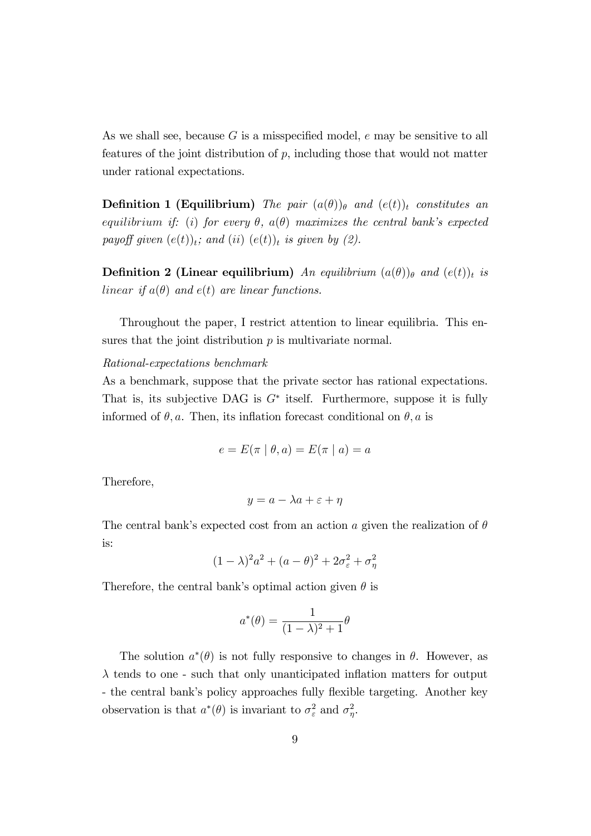As we shall see, because  $G$  is a misspecified model,  $e$  may be sensitive to all features of the joint distribution of  $p$ , including those that would not matter under rational expectations.

**Definition 1 (Equilibrium)** The pair  $(a(\theta))_{\theta}$  and  $(e(t))_{t}$  constitutes an equilibrium if: (i) for every  $\theta$ ,  $a(\theta)$  maximizes the central bank's expected payoff given  $(e(t))_t$ ; and  $(ii)$   $(e(t))_t$  is given by (2).

**Definition 2 (Linear equilibrium)** An equilibrium  $(a(\theta))_{\theta}$  and  $(e(t))_{t}$  is linear if  $a(\theta)$  and  $e(t)$  are linear functions.

Throughout the paper, I restrict attention to linear equilibria. This ensures that the joint distribution  $p$  is multivariate normal.

#### Rational-expectations benchmark

As a benchmark, suppose that the private sector has rational expectations. That is, its subjective DAG is  $G^*$  itself. Furthermore, suppose it is fully informed of  $\theta$ , a. Then, its inflation forecast conditional on  $\theta$ , a is

$$
e = E(\pi \mid \theta, a) = E(\pi \mid a) = a
$$

Therefore,

$$
y = a - \lambda a + \varepsilon + \eta
$$

The central bank's expected cost from an action a given the realization of  $\theta$ is:

$$
(1 - \lambda)^2 a^2 + (a - \theta)^2 + 2\sigma_\varepsilon^2 + \sigma_\eta^2
$$

Therefore, the central bank's optimal action given  $\theta$  is

$$
a^*(\theta) = \frac{1}{(1-\lambda)^2 + 1}\theta
$$

The solution  $a^*(\theta)$  is not fully responsive to changes in  $\theta$ . However, as  $\lambda$  tends to one - such that only unanticipated inflation matters for output - the central bank's policy approaches fully flexible targeting. Another key observation is that  $a^*(\theta)$  is invariant to  $\sigma_{\varepsilon}^2$  and  $\sigma_{\eta}^2$ .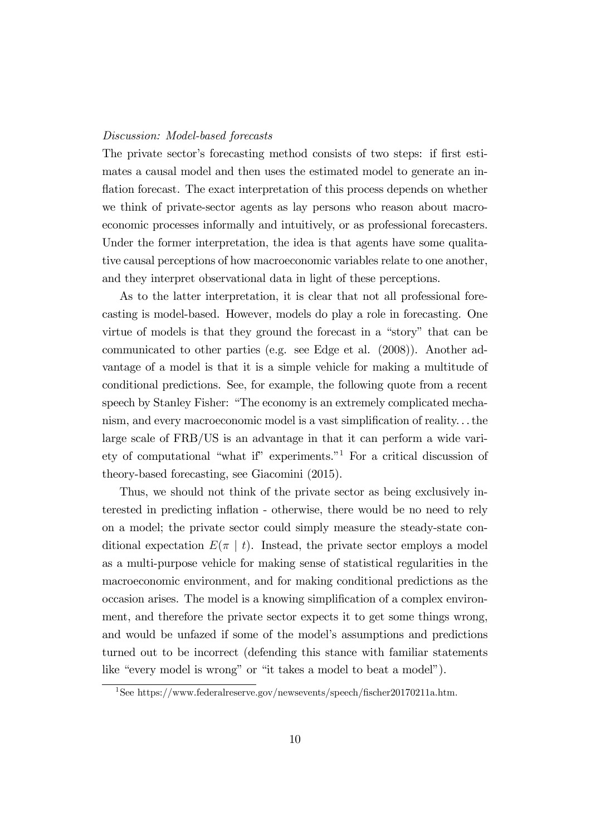#### Discussion: Model-based forecasts

The private sector's forecasting method consists of two steps: if first esti-mates a causal model and then uses the estimated model to generate an inflation forecast. The exact interpretation of this process depends on whether we think of private-sector agents as lay persons who reason about macroeconomic processes informally and intuitively, or as professional forecasters. Under the former interpretation, the idea is that agents have some qualitative causal perceptions of how macroeconomic variables relate to one another, and they interpret observational data in light of these perceptions.

As to the latter interpretation, it is clear that not all professional forecasting is model-based. However, models do play a role in forecasting. One virtue of models is that they ground the forecast in a "story" that can be communicated to other parties (e.g. see Edge et al. (2008)). Another advantage of a model is that it is a simple vehicle for making a multitude of conditional predictions. See, for example, the following quote from a recent speech by Stanley Fisher: "The economy is an extremely complicated mechanism, and every macroeconomic model is a vast simplification of reality... the large scale of FRB/US is an advantage in that it can perform a wide variety of computational "what if" experiments. $1$ <sup>1</sup> For a critical discussion of theory-based forecasting, see Giacomini (2015).

Thus, we should not think of the private sector as being exclusively interested in predicting inflation - otherwise, there would be no need to rely on a model; the private sector could simply measure the steady-state conditional expectation  $E(\pi | t)$ . Instead, the private sector employs a model as a multi-purpose vehicle for making sense of statistical regularities in the macroeconomic environment, and for making conditional predictions as the occasion arises. The model is a knowing simplification of a complex environment, and therefore the private sector expects it to get some things wrong, and would be unfazed if some of the model's assumptions and predictions turned out to be incorrect (defending this stance with familiar statements like "every model is wrong" or "it takes a model to beat a model").

<sup>&</sup>lt;sup>1</sup>See https://www.federalreserve.gov/newsevents/speech/fischer20170211a.htm.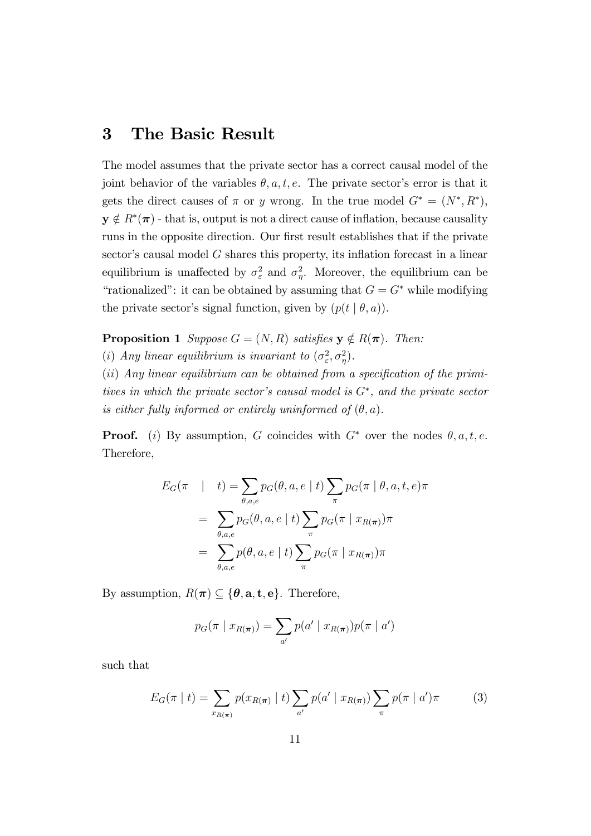### 3 The Basic Result

The model assumes that the private sector has a correct causal model of the joint behavior of the variables  $\theta$ , a, t, e. The private sector's error is that it gets the direct causes of  $\pi$  or y wrong. In the true model  $G^* = (N^*, R^*)$ ,  $y \notin R^*(\pi)$  - that is, output is not a direct cause of inflation, because causality runs in the opposite direction. Our first result establishes that if the private sector's causal model  $G$  shares this property, its inflation forecast in a linear equilibrium is unaffected by  $\sigma_{\varepsilon}^2$  and  $\sigma_{\eta}^2$ . Moreover, the equilibrium can be "rationalized": it can be obtained by assuming that  $G = G^*$  while modifying the private sector's signal function, given by  $(p(t | \theta, a))$ .

**Proposition 1** Suppose  $G = (N, R)$  satisfies  $y \notin R(\pi)$ . Then:

(i) Any linear equilibrium is invariant to  $(\sigma_{\varepsilon}^2, \sigma_{\eta}^2)$ .

 $(ii)$  Any linear equilibrium can be obtained from a specification of the primitives in which the private sector's causal model is  $G^*$ , and the private sector is either fully informed or entirely uninformed of  $(\theta, a)$ .

**Proof.** (i) By assumption, G coincides with  $G^*$  over the nodes  $\theta$ ,  $a, t, e$ . Therefore,

$$
E_G(\pi \mid t) = \sum_{\theta, a, e} p_G(\theta, a, e \mid t) \sum_{\pi} p_G(\pi \mid \theta, a, t, e) \pi
$$
  
= 
$$
\sum_{\theta, a, e} p_G(\theta, a, e \mid t) \sum_{\pi} p_G(\pi \mid x_{R(\pi)}) \pi
$$
  
= 
$$
\sum_{\theta, a, e} p(\theta, a, e \mid t) \sum_{\pi} p_G(\pi \mid x_{R(\pi)}) \pi
$$

By assumption,  $R(\pi) \subseteq {\theta, \mathbf{a}, \mathbf{t}, \mathbf{e}}$ . Therefore,

$$
p_G(\pi | x_{R(\pi)}) = \sum_{a'} p(a' | x_{R(\pi)}) p(\pi | a')
$$

such that

$$
E_G(\pi | t) = \sum_{x_{R(\pi)}} p(x_{R(\pi)} | t) \sum_{a'} p(a' | x_{R(\pi)}) \sum_{\pi} p(\pi | a')\pi \tag{3}
$$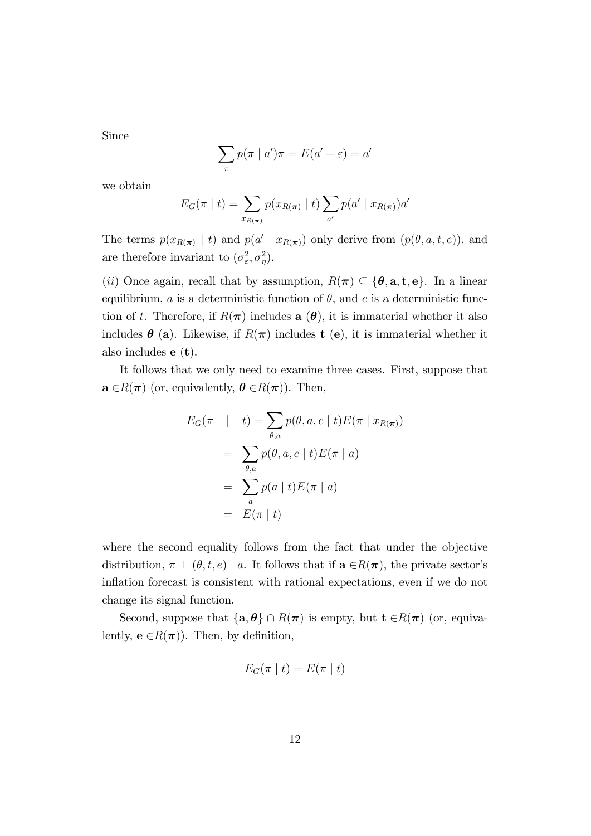Since

$$
\sum_{\pi} p(\pi \mid a')\pi = E(a' + \varepsilon) = a'
$$

we obtain

$$
E_G(\pi | t) = \sum_{x_{R(\pi)}} p(x_{R(\pi)} | t) \sum_{a'} p(a' | x_{R(\pi)}) a'
$$

The terms  $p(x_{R(\pi)})$  | t) and  $p(a' | x_{R(\pi)})$  only derive from  $(p(\theta, a, t, e))$ , and are therefore invariant to  $(\sigma_{\varepsilon}^2, \sigma_{\eta}^2)$ .

(*ii*) Once again, recall that by assumption,  $R(\pi) \subseteq {\theta, \mathbf{a}, \mathbf{t}, \mathbf{e}}$ . In a linear equilibrium,  $a$  is a deterministic function of  $\theta$ , and  $e$  is a deterministic function of t. Therefore, if  $R(\pi)$  includes a  $(\theta)$ , it is immaterial whether it also includes  $\theta$  (a). Likewise, if  $R(\pi)$  includes t (e), it is immaterial whether it also includes  $e(t)$ .

It follows that we only need to examine three cases. First, suppose that  $\mathbf{a} \in R(\boldsymbol{\pi})$  (or, equivalently,  $\boldsymbol{\theta} \in R(\boldsymbol{\pi})$ ). Then,

$$
E_G(\pi \mid t) = \sum_{\theta, a} p(\theta, a, e \mid t) E(\pi \mid x_{R(\pi)})
$$
  
= 
$$
\sum_{\theta, a} p(\theta, a, e \mid t) E(\pi \mid a)
$$
  
= 
$$
\sum_a p(a \mid t) E(\pi \mid a)
$$
  
= 
$$
E(\pi \mid t)
$$

where the second equality follows from the fact that under the objective distribution,  $\pi \perp (\theta, t, e)$  a. It follows that if  $\mathbf{a} \in R(\pi)$ , the private sector's inflation forecast is consistent with rational expectations, even if we do not change its signal function.

Second, suppose that  $\{a, \theta\} \cap R(\pi)$  is empty, but  $t \in R(\pi)$  (or, equivalently,  $e \in R(\pi)$ ). Then, by definition,

$$
E_G(\pi \mid t) = E(\pi \mid t)
$$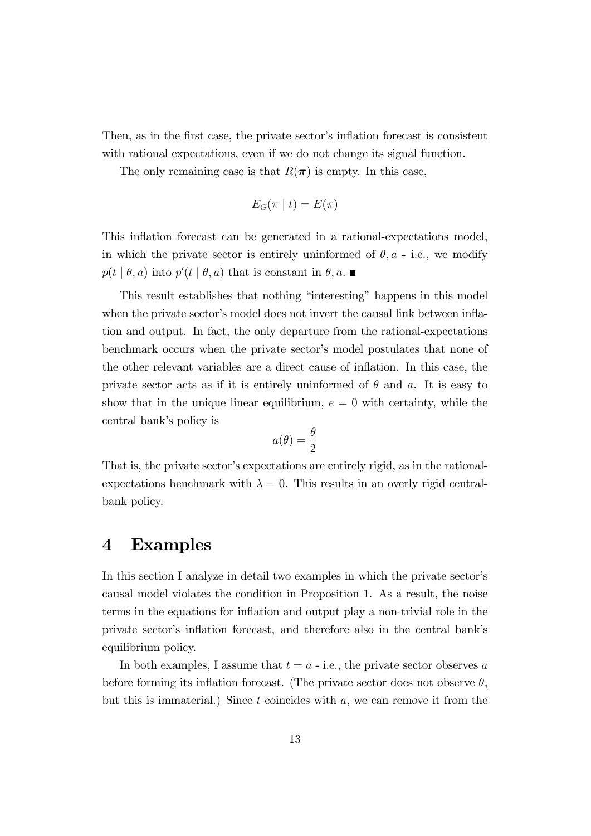Then, as in the first case, the private sector's inflation forecast is consistent with rational expectations, even if we do not change its signal function.

The only remaining case is that  $R(\pi)$  is empty. In this case,

$$
E_G(\pi | t) = E(\pi)
$$

This inflation forecast can be generated in a rational-expectations model, in which the private sector is entirely uninformed of  $\theta$ ,  $a$  - i.e., we modify  $p(t | \theta, a)$  into  $p'(t | \theta, a)$  that is constant in  $\theta, a$ .

This result establishes that nothing "interesting" happens in this model when the private sector's model does not invert the causal link between inflation and output. In fact, the only departure from the rational-expectations benchmark occurs when the private sector's model postulates that none of the other relevant variables are a direct cause of ináation. In this case, the private sector acts as if it is entirely uninformed of  $\theta$  and a. It is easy to show that in the unique linear equilibrium,  $e = 0$  with certainty, while the central bank's policy is

$$
a(\theta) = \frac{\theta}{2}
$$

That is, the private sector's expectations are entirely rigid, as in the rationalexpectations benchmark with  $\lambda = 0$ . This results in an overly rigid centralbank policy.

### 4 Examples

In this section I analyze in detail two examples in which the private sector's causal model violates the condition in Proposition 1. As a result, the noise terms in the equations for inflation and output play a non-trivial role in the private sector's inflation forecast, and therefore also in the central bank's equilibrium policy.

In both examples, I assume that  $t = a - i.e.,$  the private sector observes a before forming its inflation forecast. (The private sector does not observe  $\theta$ , but this is immaterial.) Since  $t$  coincides with  $a$ , we can remove it from the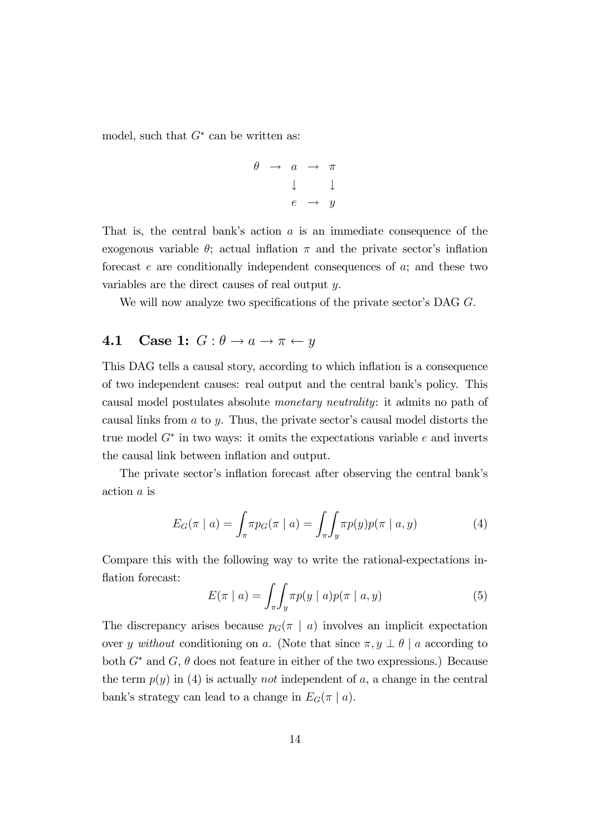model, such that  $G^*$  can be written as:

$$
\begin{array}{rcl}\n\theta & \rightarrow & a & \rightarrow & \pi \\
& & \downarrow & & \downarrow \\
& & e & \rightarrow & y\n\end{array}
$$

That is, the central bank's action  $a$  is an immediate consequence of the exogenous variable  $\theta$ ; actual inflation  $\pi$  and the private sector's inflation forecast  $e$  are conditionally independent consequences of  $a$ ; and these two variables are the direct causes of real output y.

We will now analyze two specifications of the private sector's DAG  $G$ .

### 4.1 Case 1:  $G: \theta \rightarrow a \rightarrow \pi \leftarrow y$

This DAG tells a causal story, according to which inflation is a consequence of two independent causes: real output and the central bank's policy. This causal model postulates absolute monetary neutrality: it admits no path of causal links from  $a$  to  $y$ . Thus, the private sector's causal model distorts the true model  $G^*$  in two ways: it omits the expectations variable  $e$  and inverts the causal link between inflation and output.

The private sector's inflation forecast after observing the central bank's action a is

$$
E_G(\pi \mid a) = \int_{\pi} \pi p_G(\pi \mid a) = \int_{\pi} \int_{y} \pi p(y) p(\pi \mid a, y) \tag{4}
$$

Compare this with the following way to write the rational-expectations inflation forecast:

$$
E(\pi \mid a) = \int_{\pi} \int_{y} \pi p(y \mid a) p(\pi \mid a, y) \tag{5}
$$

The discrepancy arises because  $p_G(\pi | a)$  involves an implicit expectation over y without conditioning on a. (Note that since  $\pi, y \perp \theta \mid a$  according to both  $G^*$  and  $G$ ,  $\theta$  does not feature in either of the two expressions.) Because the term  $p(y)$  in (4) is actually *not* independent of a, a change in the central bank's strategy can lead to a change in  $E_G(\pi | a)$ .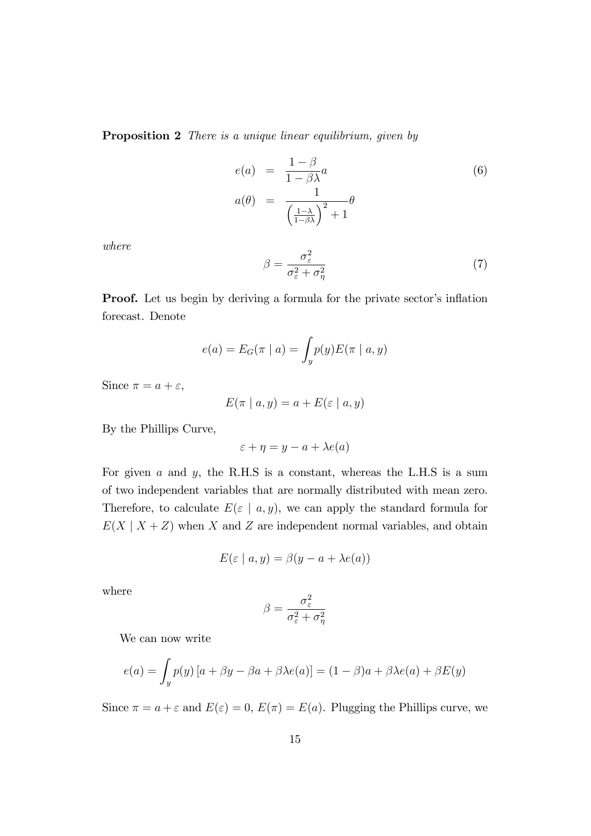**Proposition 2** There is a unique linear equilibrium, given by

$$
e(a) = \frac{1-\beta}{1-\beta\lambda}a
$$
  
\n
$$
a(\theta) = \frac{1}{\left(\frac{1-\lambda}{1-\beta\lambda}\right)^2 + 1}\theta
$$
\n(6)

where

$$
\beta = \frac{\sigma_{\varepsilon}^2}{\sigma_{\varepsilon}^2 + \sigma_{\eta}^2} \tag{7}
$$

**Proof.** Let us begin by deriving a formula for the private sector's inflation forecast. Denote

$$
e(a) = E_G(\pi \mid a) = \int_y p(y) E(\pi \mid a, y)
$$

Since  $\pi = a + \varepsilon$ ,

$$
E(\pi \mid a, y) = a + E(\varepsilon \mid a, y)
$$

By the Phillips Curve,

$$
\varepsilon + \eta = y - a + \lambda e(a)
$$

For given  $a$  and  $y$ , the R.H.S is a constant, whereas the L.H.S is a sum of two independent variables that are normally distributed with mean zero. Therefore, to calculate  $E(\varepsilon \mid a, y)$ , we can apply the standard formula for  $E(X \mid X + Z)$  when X and Z are independent normal variables, and obtain

$$
E(\varepsilon \mid a, y) = \beta(y - a + \lambda e(a))
$$

where

$$
\beta = \frac{\sigma_\varepsilon^2}{\sigma_\varepsilon^2 + \sigma_\eta^2}
$$

We can now write

$$
e(a) = \int_y p(y) [a + \beta y - \beta a + \beta \lambda e(a)] = (1 - \beta)a + \beta \lambda e(a) + \beta E(y)
$$

Since  $\pi = a + \varepsilon$  and  $E(\varepsilon) = 0$ ,  $E(\pi) = E(a)$ . Plugging the Phillips curve, we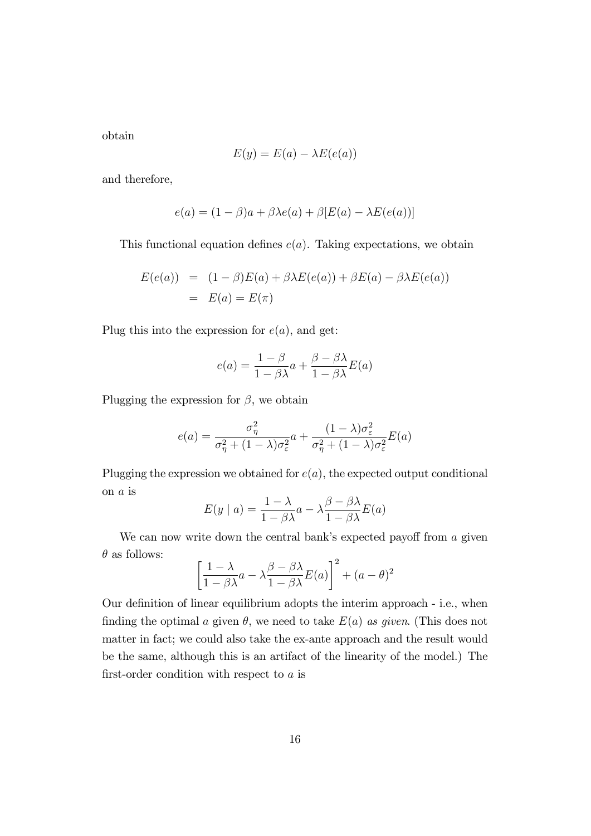obtain

$$
E(y) = E(a) - \lambda E(e(a))
$$

and therefore,

$$
e(a) = (1 - \beta)a + \beta\lambda e(a) + \beta[E(a) - \lambda E(e(a))]
$$

This functional equation defines  $e(a)$ . Taking expectations, we obtain

$$
E(e(a)) = (1 - \beta)E(a) + \beta \lambda E(e(a)) + \beta E(a) - \beta \lambda E(e(a))
$$
  
= 
$$
E(a) = E(\pi)
$$

Plug this into the expression for  $e(a)$ , and get:

$$
e(a) = \frac{1 - \beta}{1 - \beta \lambda} a + \frac{\beta - \beta \lambda}{1 - \beta \lambda} E(a)
$$

Plugging the expression for  $\beta$ , we obtain

$$
e(a) = \frac{\sigma_{\eta}^{2}}{\sigma_{\eta}^{2} + (1 - \lambda)\sigma_{\varepsilon}^{2}} a + \frac{(1 - \lambda)\sigma_{\varepsilon}^{2}}{\sigma_{\eta}^{2} + (1 - \lambda)\sigma_{\varepsilon}^{2}} E(a)
$$

Plugging the expression we obtained for  $e(a)$ , the expected output conditional on a is

$$
E(y \mid a) = \frac{1 - \lambda}{1 - \beta \lambda} a - \lambda \frac{\beta - \beta \lambda}{1 - \beta \lambda} E(a)
$$

We can now write down the central bank's expected payoff from  $a$  given  $\theta$  as follows:

$$
\left[\frac{1-\lambda}{1-\beta\lambda}a - \lambda\frac{\beta-\beta\lambda}{1-\beta\lambda}E(a)\right]^2 + (a-\theta)^2
$$

Our definition of linear equilibrium adopts the interim approach - i.e., when finding the optimal a given  $\theta$ , we need to take  $E(a)$  as given. (This does not matter in fact; we could also take the ex-ante approach and the result would be the same, although this is an artifact of the linearity of the model.) The first-order condition with respect to  $a$  is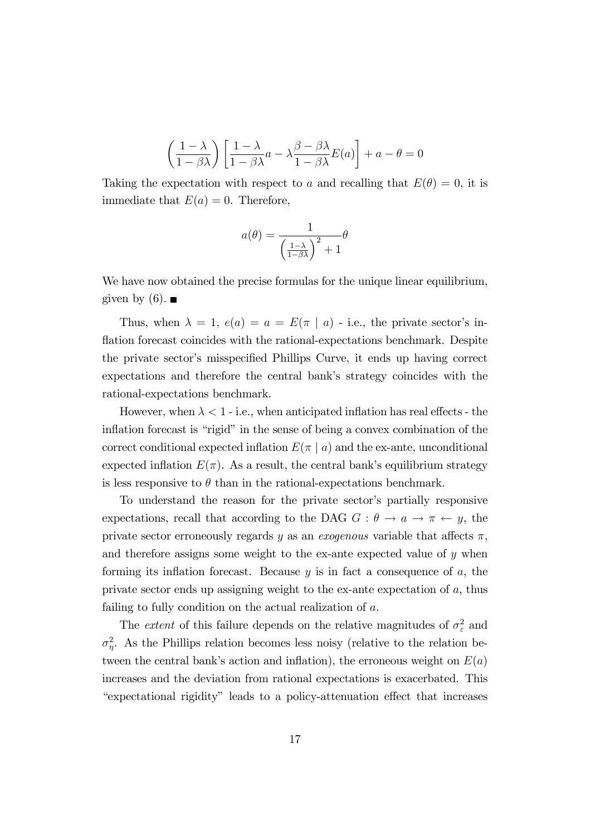$$
\left(\frac{1-\lambda}{1-\beta\lambda}\right)\left[\frac{1-\lambda}{1-\beta\lambda}a - \lambda\frac{\beta-\beta\lambda}{1-\beta\lambda}E(a)\right] + a - \theta = 0
$$

Taking the expectation with respect to a and recalling that  $E(\theta) = 0$ , it is immediate that  $E(a) = 0$ . Therefore,

$$
a(\theta) = \frac{1}{\left(\frac{1-\lambda}{1-\beta\lambda}\right)^2 + 1}\theta
$$

We have now obtained the precise formulas for the unique linear equilibrium, given by  $(6)$ . ■

Thus, when  $\lambda = 1$ ,  $e(a) = a = E(\pi | a)$  - i.e., the private sector's inflation forecast coincides with the rational-expectations benchmark. Despite the private sector's misspecified Phillips Curve, it ends up having correct expectations and therefore the central bank's strategy coincides with the rational-expectations benchmark.

However, when  $\lambda < 1$  - i.e., when anticipated inflation has real effects - the inflation forecast is "rigid" in the sense of being a convex combination of the correct conditional expected inflation  $E(\pi | a)$  and the ex-ante, unconditional expected inflation  $E(\pi)$ . As a result, the central bank's equilibrium strategy is less responsive to  $\theta$  than in the rational-expectations benchmark.

To understand the reason for the private sector's partially responsive expectations, recall that according to the DAG  $G : \theta \to a \to \pi \leftarrow y$ , the private sector erroneously regards y as an *exogenous* variable that affects  $\pi$ , and therefore assigns some weight to the ex-ante expected value of  $y$  when forming its inflation forecast. Because  $y$  is in fact a consequence of  $a$ , the private sector ends up assigning weight to the ex-ante expectation of a, thus failing to fully condition on the actual realization of a.

The *extent* of this failure depends on the relative magnitudes of  $\sigma_{\varepsilon}^2$  and  $\sigma_{\eta}^2$ . As the Phillips relation becomes less noisy (relative to the relation between the central bank's action and inflation), the erroneous weight on  $E(a)$ increases and the deviation from rational expectations is exacerbated. This ìexpectational rigidityî leads to a policy-attenuation e§ect that increases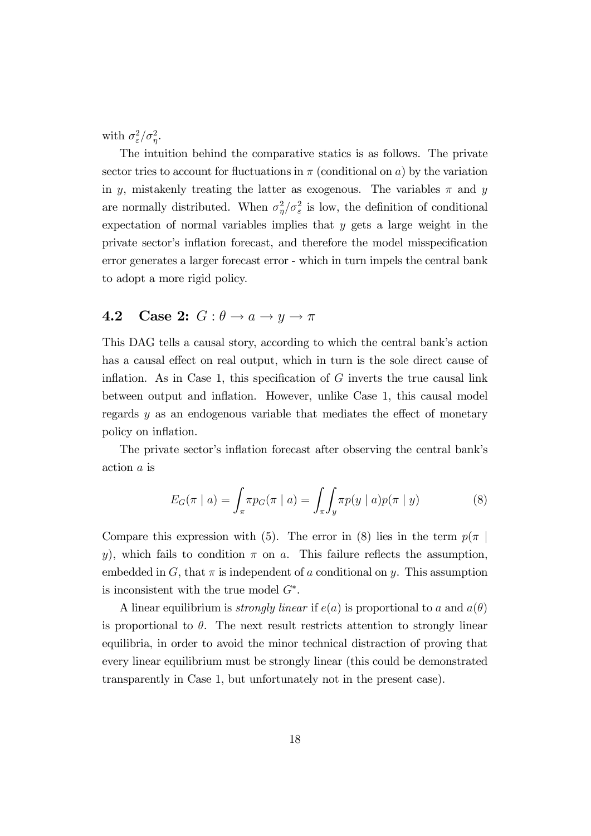with  $\sigma_{\varepsilon}^2/\sigma_{\eta}^2$ .

The intuition behind the comparative statics is as follows. The private sector tries to account for fluctuations in  $\pi$  (conditional on a) by the variation in y, mistakenly treating the latter as exogenous. The variables  $\pi$  and y are normally distributed. When  $\sigma_{\eta}^2/\sigma_{\varepsilon}^2$  is low, the definition of conditional expectation of normal variables implies that  $y$  gets a large weight in the private sector's inflation forecast, and therefore the model misspecification error generates a larger forecast error - which in turn impels the central bank to adopt a more rigid policy.

### 4.2 Case 2:  $G : \theta \rightarrow a \rightarrow y \rightarrow \pi$

This DAG tells a causal story, according to which the central bank's action has a causal effect on real output, which in turn is the sole direct cause of inflation. As in Case 1, this specification of  $G$  inverts the true causal link between output and ináation. However, unlike Case 1, this causal model regards  $y$  as an endogenous variable that mediates the effect of monetary policy on inflation.

The private sector's inflation forecast after observing the central bank's action a is

$$
E_G(\pi \mid a) = \int_{\pi} \pi p_G(\pi \mid a) = \int_{\pi} \int_{y} \pi p(y \mid a) p(\pi \mid y) \tag{8}
$$

Compare this expression with (5). The error in (8) lies in the term  $p(\pi)$ y), which fails to condition  $\pi$  on a. This failure reflects the assumption, embedded in  $G$ , that  $\pi$  is independent of a conditional on y. This assumption is inconsistent with the true model  $G^*$ .

A linear equilibrium is *strongly linear* if  $e(a)$  is proportional to a and  $a(\theta)$ is proportional to  $\theta$ . The next result restricts attention to strongly linear equilibria, in order to avoid the minor technical distraction of proving that every linear equilibrium must be strongly linear (this could be demonstrated transparently in Case 1, but unfortunately not in the present case).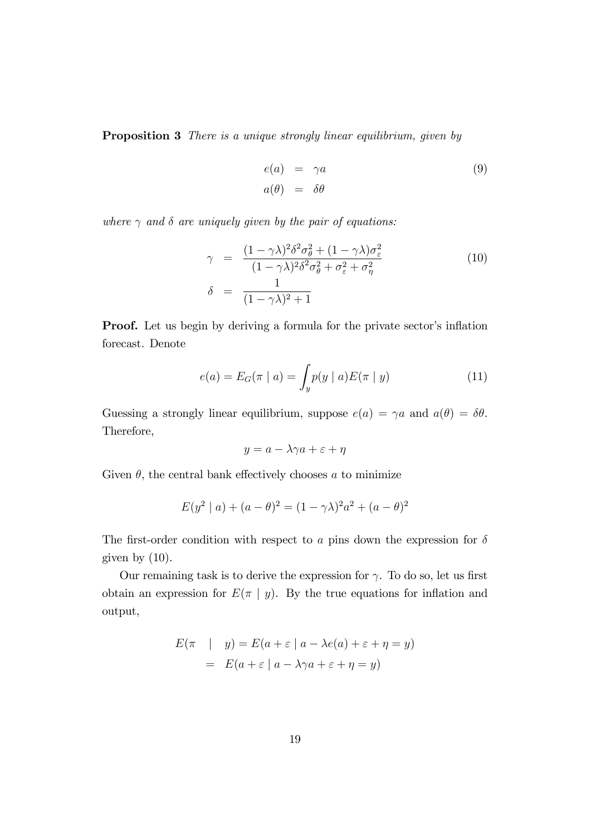**Proposition 3** There is a unique strongly linear equilibrium, given by

$$
e(a) = \gamma a
$$
  
\n
$$
a(\theta) = \delta \theta
$$
\n(9)

where  $\gamma$  and  $\delta$  are uniquely given by the pair of equations:

$$
\gamma = \frac{(1 - \gamma \lambda)^2 \delta^2 \sigma_\theta^2 + (1 - \gamma \lambda) \sigma_\epsilon^2}{(1 - \gamma \lambda)^2 \delta^2 \sigma_\theta^2 + \sigma_\epsilon^2 + \sigma_\eta^2}
$$
(10)  

$$
\delta = \frac{1}{(1 - \gamma \lambda)^2 + 1}
$$

**Proof.** Let us begin by deriving a formula for the private sector's inflation forecast. Denote

$$
e(a) = E_G(\pi \mid a) = \int_y p(y \mid a) E(\pi \mid y) \tag{11}
$$

Guessing a strongly linear equilibrium, suppose  $e(a) = \gamma a$  and  $a(\theta) = \delta \theta$ . Therefore,

$$
y = a - \lambda \gamma a + \varepsilon + \eta
$$

Given  $\theta$ , the central bank effectively chooses a to minimize

$$
E(y^{2} | a) + (a - \theta)^{2} = (1 - \gamma \lambda)^{2} a^{2} + (a - \theta)^{2}
$$

The first-order condition with respect to a pins down the expression for  $\delta$ given by  $(10)$ .

Our remaining task is to derive the expression for  $\gamma$ . To do so, let us first obtain an expression for  $E(\pi | y)$ . By the true equations for inflation and output,

$$
E(\pi | y) = E(a + \varepsilon | a - \lambda e(a) + \varepsilon + \eta = y)
$$
  
= 
$$
E(a + \varepsilon | a - \lambda \gamma a + \varepsilon + \eta = y)
$$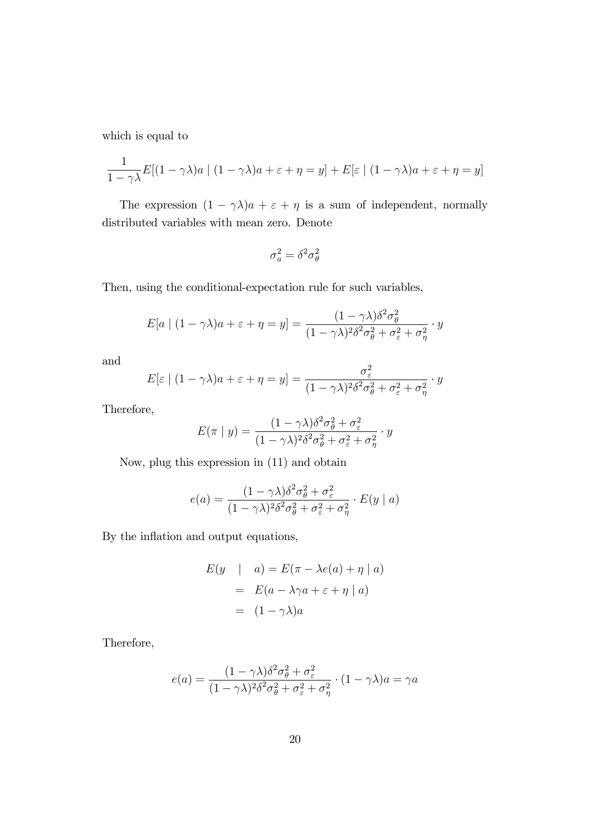which is equal to

$$
\frac{1}{1-\gamma\lambda}E[(1-\gamma\lambda)a \mid (1-\gamma\lambda)a + \varepsilon + \eta = y] + E[\varepsilon \mid (1-\gamma\lambda)a + \varepsilon + \eta = y]
$$

The expression  $(1 - \gamma \lambda)a + \varepsilon + \eta$  is a sum of independent, normally distributed variables with mean zero. Denote

$$
\sigma_a^2=\delta^2\sigma_\theta^2
$$

Then, using the conditional-expectation rule for such variables,

$$
E[a \mid (1 - \gamma \lambda)a + \varepsilon + \eta = y] = \frac{(1 - \gamma \lambda)\delta^2 \sigma_{\theta}^2}{(1 - \gamma \lambda)^2 \delta^2 \sigma_{\theta}^2 + \sigma_{\varepsilon}^2 + \sigma_{\eta}^2} \cdot y
$$

and

$$
E[\varepsilon \mid (1 - \gamma \lambda)a + \varepsilon + \eta = y] = \frac{\sigma_{\varepsilon}^2}{(1 - \gamma \lambda)^2 \delta^2 \sigma_{\theta}^2 + \sigma_{\varepsilon}^2 + \sigma_{\eta}^2} \cdot y
$$

Therefore,

$$
E(\pi | y) = \frac{(1 - \gamma \lambda)\delta^2 \sigma_{\theta}^2 + \sigma_{\varepsilon}^2}{(1 - \gamma \lambda)^2 \delta^2 \sigma_{\theta}^2 + \sigma_{\varepsilon}^2 + \sigma_{\eta}^2} \cdot y
$$

Now, plug this expression in (11) and obtain

$$
e(a) = \frac{(1 - \gamma \lambda)\delta^2 \sigma_{\theta}^2 + \sigma_{\varepsilon}^2}{(1 - \gamma \lambda)^2 \delta^2 \sigma_{\theta}^2 + \sigma_{\varepsilon}^2 + \sigma_{\eta}^2} \cdot E(y \mid a)
$$

By the inflation and output equations,

$$
E(y \mid a) = E(\pi - \lambda e(a) + \eta \mid a)
$$
  
= 
$$
E(a - \lambda \gamma a + \varepsilon + \eta \mid a)
$$
  
= 
$$
(1 - \gamma \lambda)a
$$

Therefore,

$$
e(a) = \frac{(1 - \gamma \lambda)\delta^2 \sigma_{\theta}^2 + \sigma_{\varepsilon}^2}{(1 - \gamma \lambda)^2 \delta^2 \sigma_{\theta}^2 + \sigma_{\varepsilon}^2 + \sigma_{\eta}^2} \cdot (1 - \gamma \lambda)a = \gamma a
$$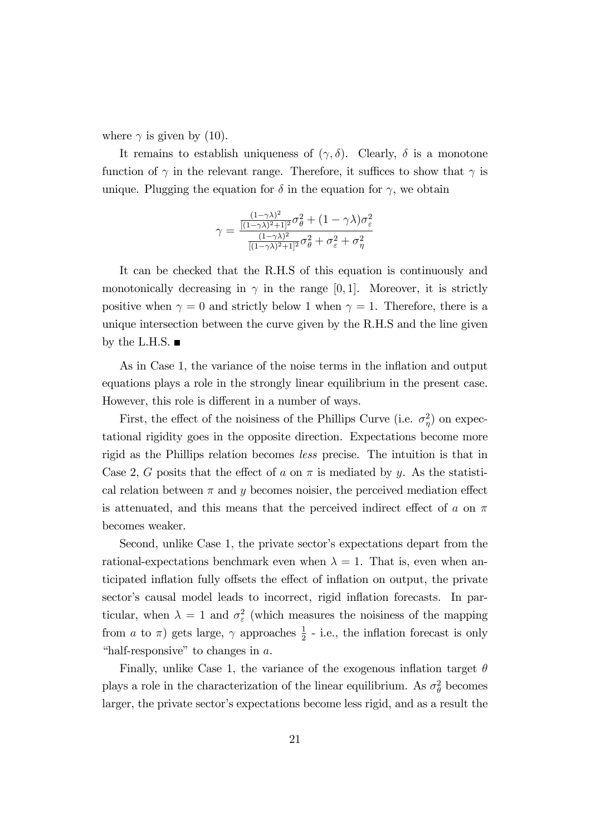where  $\gamma$  is given by (10).

It remains to establish uniqueness of  $(\gamma, \delta)$ . Clearly,  $\delta$  is a monotone function of  $\gamma$  in the relevant range. Therefore, it suffices to show that  $\gamma$  is unique. Plugging the equation for  $\delta$  in the equation for  $\gamma$ , we obtain

$$
\gamma = \frac{\frac{(1-\gamma\lambda)^2}{[(1-\gamma\lambda)^2+1]^2}\sigma_\theta^2 + (1-\gamma\lambda)\sigma_\varepsilon^2}{\frac{(1-\gamma\lambda)^2}{[(1-\gamma\lambda)^2+1]^2}\sigma_\theta^2 + \sigma_\varepsilon^2 + \sigma_\eta^2}
$$

It can be checked that the R.H.S of this equation is continuously and monotonically decreasing in  $\gamma$  in the range [0,1]. Moreover, it is strictly positive when  $\gamma = 0$  and strictly below 1 when  $\gamma = 1$ . Therefore, there is a unique intersection between the curve given by the R.H.S and the line given by the L.H.S.  $\blacksquare$ 

As in Case 1, the variance of the noise terms in the inflation and output equations plays a role in the strongly linear equilibrium in the present case. However, this role is different in a number of ways.

First, the effect of the noisiness of the Phillips Curve (i.e.  $\sigma_{\eta}^2$ ) on expectational rigidity goes in the opposite direction. Expectations become more rigid as the Phillips relation becomes less precise. The intuition is that in Case 2, G posits that the effect of a on  $\pi$  is mediated by y. As the statistical relation between  $\pi$  and y becomes noisier, the perceived mediation effect is attenuated, and this means that the perceived indirect effect of a on  $\pi$ becomes weaker.

Second, unlike Case 1, the private sector's expectations depart from the rational-expectations benchmark even when  $\lambda = 1$ . That is, even when anticipated inflation fully offsets the effect of inflation on output, the private sector's causal model leads to incorrect, rigid inflation forecasts. In particular, when  $\lambda = 1$  and  $\sigma_{\varepsilon}^2$  (which measures the noisiness of the mapping from *a* to  $\pi$ ) gets large,  $\gamma$  approaches  $\frac{1}{2}$  - i.e., the inflation forecast is only "half-responsive" to changes in  $a$ .

Finally, unlike Case 1, the variance of the exogenous inflation target  $\theta$ plays a role in the characterization of the linear equilibrium. As  $\sigma_{\theta}^2$  becomes larger, the private sector's expectations become less rigid, and as a result the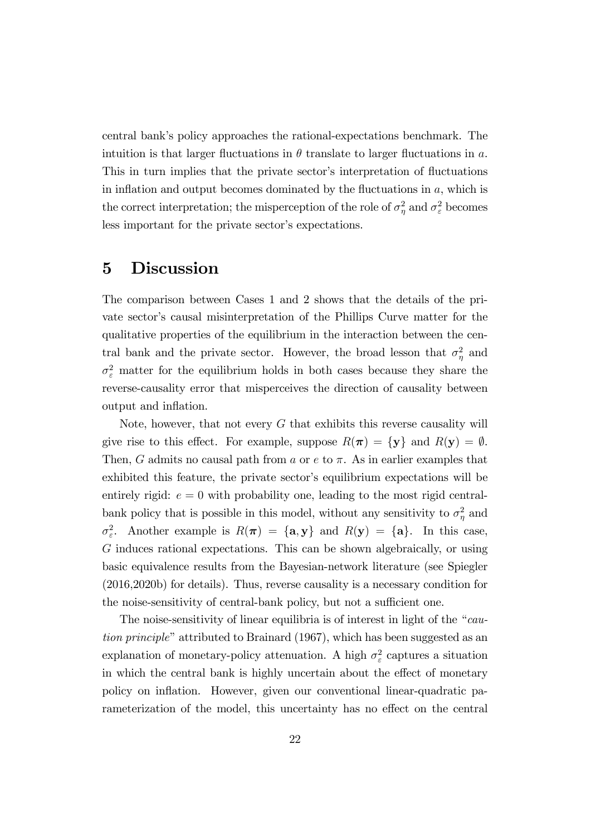central bankís policy approaches the rational-expectations benchmark. The intuition is that larger fluctuations in  $\theta$  translate to larger fluctuations in a. This in turn implies that the private sector's interpretation of fluctuations in inflation and output becomes dominated by the fluctuations in  $a$ , which is the correct interpretation; the misperception of the role of  $\sigma_{\eta}^2$  and  $\sigma_{\varepsilon}^2$  becomes less important for the private sector's expectations.

### 5 Discussion

The comparison between Cases 1 and 2 shows that the details of the private sector's causal misinterpretation of the Phillips Curve matter for the qualitative properties of the equilibrium in the interaction between the central bank and the private sector. However, the broad lesson that  $\sigma_{\eta}^2$  and  $\sigma_{\varepsilon}^2$  matter for the equilibrium holds in both cases because they share the reverse-causality error that misperceives the direction of causality between output and inflation.

Note, however, that not every  $G$  that exhibits this reverse causality will give rise to this effect. For example, suppose  $R(\pi) = \{y\}$  and  $R(y) = \emptyset$ . Then, G admits no causal path from a or  $e$  to  $\pi$ . As in earlier examples that exhibited this feature, the private sector's equilibrium expectations will be entirely rigid:  $e = 0$  with probability one, leading to the most rigid centralbank policy that is possible in this model, without any sensitivity to  $\sigma_{\eta}^2$  and  $\sigma_{\varepsilon}^2$ . Another example is  $R(\pi) = {\mathbf{a}, \mathbf{y}}$  and  $R(\mathbf{y}) = {\mathbf{a}}$ . In this case, G induces rational expectations. This can be shown algebraically, or using basic equivalence results from the Bayesian-network literature (see Spiegler (2016,2020b) for details). Thus, reverse causality is a necessary condition for the noise-sensitivity of central-bank policy, but not a sufficient one.

The noise-sensitivity of linear equilibria is of interest in light of the  $\degree$ caution principle" attributed to Brainard  $(1967)$ , which has been suggested as an explanation of monetary-policy attenuation. A high  $\sigma_{\varepsilon}^2$  captures a situation in which the central bank is highly uncertain about the effect of monetary policy on ináation. However, given our conventional linear-quadratic parameterization of the model, this uncertainty has no effect on the central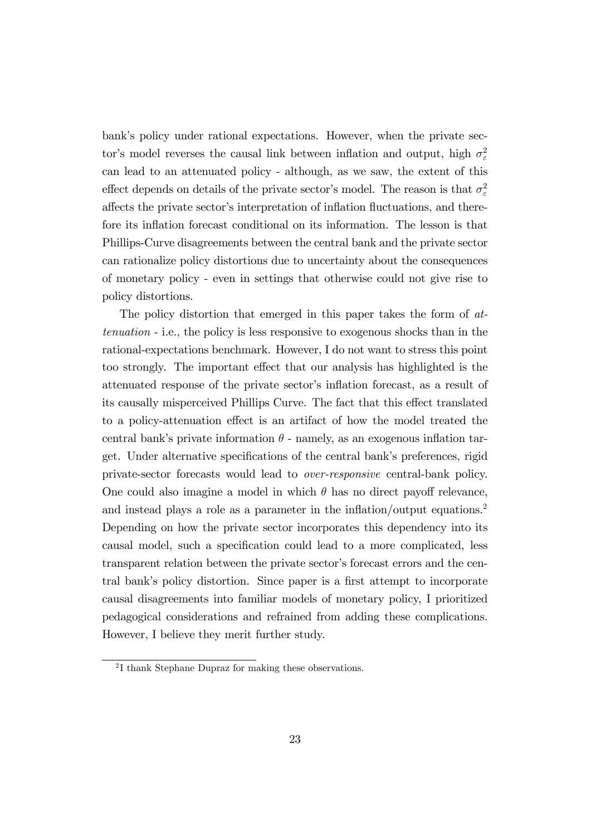bank's policy under rational expectations. However, when the private sector's model reverses the causal link between inflation and output, high  $\sigma_{\varepsilon}^2$ can lead to an attenuated policy - although, as we saw, the extent of this effect depends on details of the private sector's model. The reason is that  $\sigma_{\varepsilon}^2$ affects the private sector's interpretation of inflation fluctuations, and therefore its inflation forecast conditional on its information. The lesson is that Phillips-Curve disagreements between the central bank and the private sector can rationalize policy distortions due to uncertainty about the consequences of monetary policy - even in settings that otherwise could not give rise to policy distortions.

The policy distortion that emerged in this paper takes the form of attenuation - i.e., the policy is less responsive to exogenous shocks than in the rational-expectations benchmark. However, I do not want to stress this point too strongly. The important effect that our analysis has highlighted is the attenuated response of the private sector's inflation forecast, as a result of its causally misperceived Phillips Curve. The fact that this effect translated to a policy-attenuation effect is an artifact of how the model treated the central bank's private information  $\theta$  - namely, as an exogenous inflation target. Under alternative specifications of the central bank's preferences, rigid private-sector forecasts would lead to over-responsive central-bank policy. One could also imagine a model in which  $\theta$  has no direct payoff relevance, and instead plays a role as a parameter in the inflation/output equations.<sup>2</sup> Depending on how the private sector incorporates this dependency into its causal model, such a specification could lead to a more complicated, less transparent relation between the private sector's forecast errors and the central bank's policy distortion. Since paper is a first attempt to incorporate causal disagreements into familiar models of monetary policy, I prioritized pedagogical considerations and refrained from adding these complications. However, I believe they merit further study.

<sup>2</sup> I thank Stephane Dupraz for making these observations.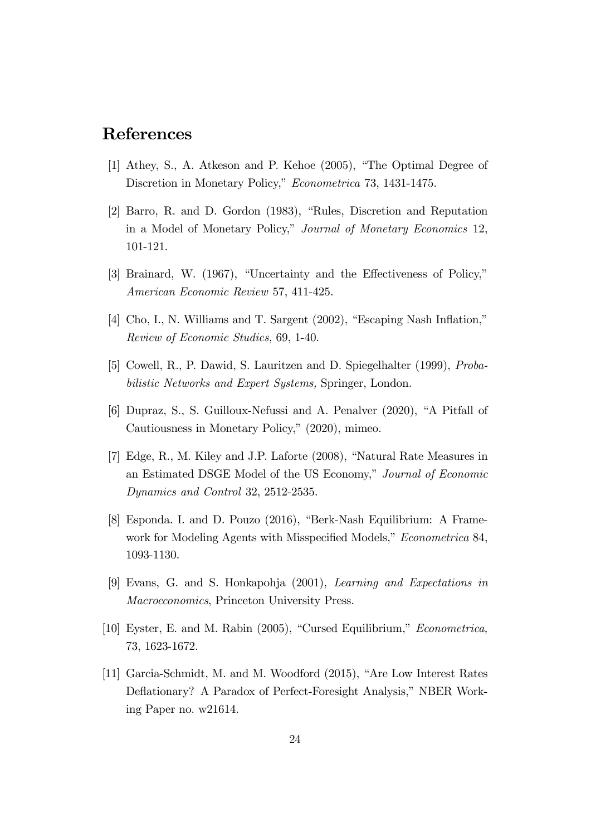### References

- [1] Athey, S., A. Atkeson and P. Kehoe (2005), "The Optimal Degree of Discretion in Monetary Policy," Econometrica 73, 1431-1475.
- [2] Barro, R. and D. Gordon (1983), "Rules, Discretion and Reputation in a Model of Monetary Policy," Journal of Monetary Economics 12, 101-121.
- [3] Brainard, W.  $(1967)$ , "Uncertainty and the Effectiveness of Policy," American Economic Review 57, 411-425.
- [4] Cho, I., N. Williams and T. Sargent (2002), "Escaping Nash Inflation," Review of Economic Studies, 69, 1-40.
- [5] Cowell, R., P. Dawid, S. Lauritzen and D. Spiegelhalter (1999), Probabilistic Networks and Expert Systems, Springer, London.
- $[6]$  Dupraz, S., S. Guilloux-Nefussi and A. Penalver  $(2020)$ , "A Pitfall of Cautiousness in Monetary Policy," (2020), mimeo.
- $[7]$  Edge, R., M. Kiley and J.P. Laforte  $(2008)$ , "Natural Rate Measures in an Estimated DSGE Model of the US Economy," Journal of Economic Dynamics and Control 32, 2512-2535.
- [8] Esponda. I. and D. Pouzo (2016), "Berk-Nash Equilibrium: A Framework for Modeling Agents with Misspecified Models," Econometrica 84, 1093-1130.
- [9] Evans, G. and S. Honkapohja (2001), Learning and Expectations in Macroeconomics, Princeton University Press.
- [10] Eyster, E. and M. Rabin (2005), "Cursed Equilibrium,"  $Econometrica$ , 73, 1623-1672.
- [11] Garcia-Schmidt, M. and M. Woodford (2015), "Are Low Interest Rates Deflationary? A Paradox of Perfect-Foresight Analysis," NBER Working Paper no. w21614.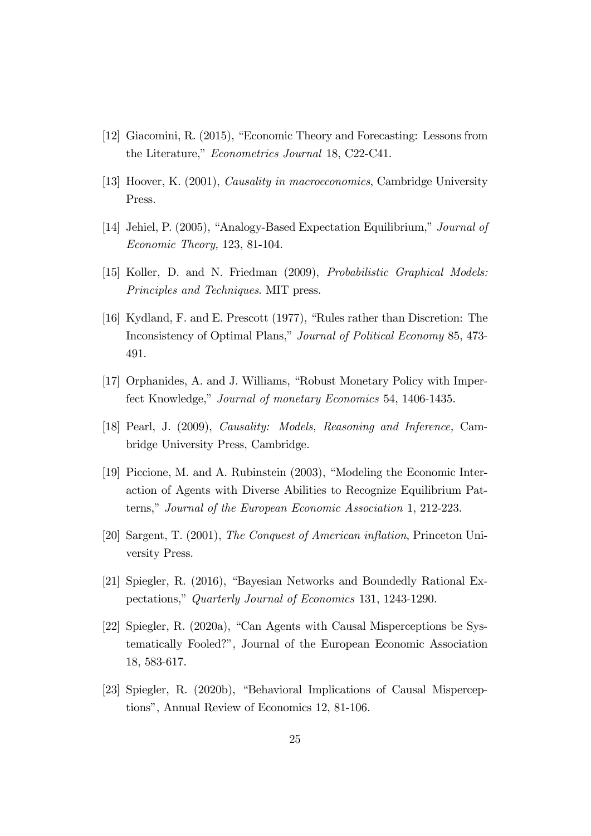- [12] Giacomini, R. (2015), "Economic Theory and Forecasting: Lessons from the Literature," *Econometrics Journal* 18, C22-C41.
- [13] Hoover, K. (2001), Causality in macroeconomics, Cambridge University Press.
- [14] Jehiel, P. (2005), "Analogy-Based Expectation Equilibrium," Journal of Economic Theory, 123, 81-104.
- [15] Koller, D. and N. Friedman (2009), Probabilistic Graphical Models: Principles and Techniques. MIT press.
- [16] Kydland, F. and E. Prescott  $(1977)$ , "Rules rather than Discretion: The Inconsistency of Optimal Plans," Journal of Political Economy 85, 473-491.
- [17] Orphanides, A. and J. Williams, "Robust Monetary Policy with Imperfect Knowledge," Journal of monetary Economics 54, 1406-1435.
- [18] Pearl, J. (2009), Causality: Models, Reasoning and Inference, Cambridge University Press, Cambridge.
- [19] Piccione, M. and A. Rubinstein (2003), "Modeling the Economic Interaction of Agents with Diverse Abilities to Recognize Equilibrium Patterns," Journal of the European Economic Association 1, 212-223.
- [20] Sargent, T. (2001), The Conquest of American inflation, Princeton University Press.
- [21] Spiegler, R.  $(2016)$ , "Bayesian Networks and Boundedly Rational Expectations," Quarterly Journal of Economics 131, 1243-1290.
- [22] Spiegler, R. (2020a), "Can Agents with Causal Misperceptions be Systematically Fooled?î, Journal of the European Economic Association 18, 583-617.
- [23] Spiegler, R. (2020b), "Behavioral Implications of Causal Misperceptions", Annual Review of Economics 12, 81-106.